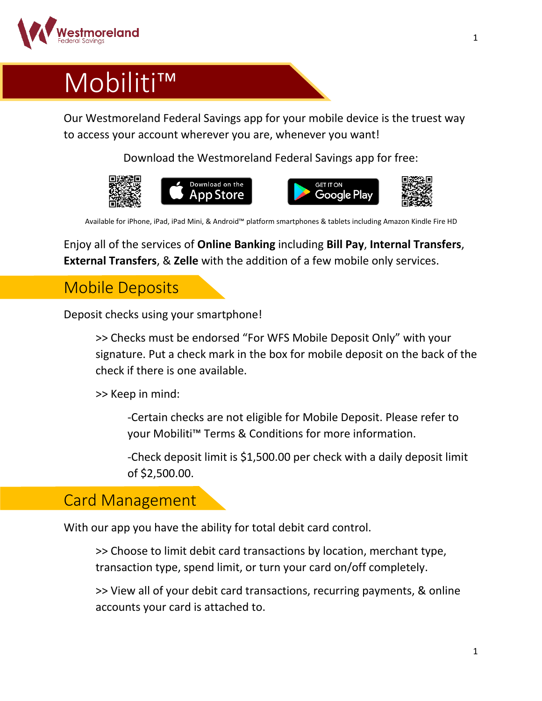

## Mobiliti™

Our Westmoreland Federal Savings app for your mobile device is the truest way to access your account wherever you are, whenever you want!

Download the Westmoreland Federal Savings app for free:



Available for iPhone, iPad, iPad Mini, & Android™ platform smartphones & tablets including Amazon Kindle Fire HD

Enjoy all of the services of **Online Banking** including **Bill Pay**, **Internal Transfers**, **External Transfers**, & **Zelle** with the addition of a few mobile only services.

## Mobile Deposits

Deposit checks using your smartphone!

>> Checks must be endorsed "For WFS Mobile Deposit Only" with your signature. Put a check mark in the box for mobile deposit on the back of the check if there is one available.

>> Keep in mind:

-Certain checks are not eligible for Mobile Deposit. Please refer to your Mobiliti™ Terms & Conditions for more information.

-Check deposit limit is \$1,500.00 per check with a daily deposit limit of \$2,500.00.

## Card Management

With our app you have the ability for total debit card control.

>> Choose to limit debit card transactions by location, merchant type, transaction type, spend limit, or turn your card on/off completely.

>> View all of your debit card transactions, recurring payments, & online accounts your card is attached to.